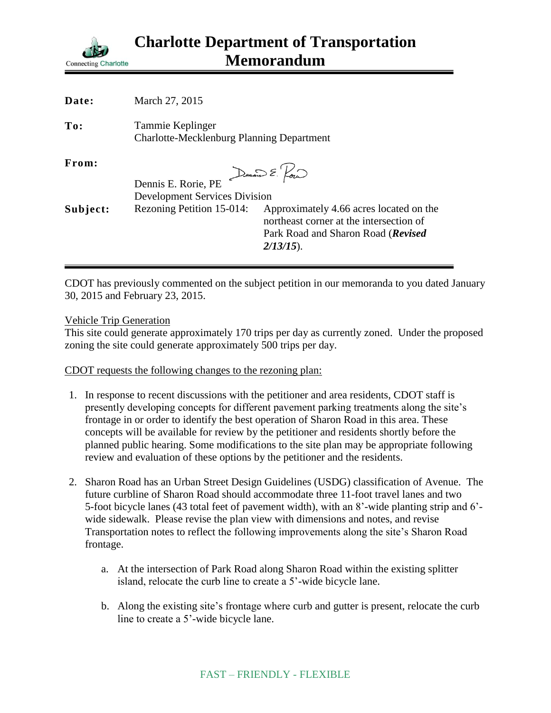

| Date:    | March 27, 2015                                                       |                                                                                                                                          |
|----------|----------------------------------------------------------------------|------------------------------------------------------------------------------------------------------------------------------------------|
| To:      | Tammie Keplinger<br><b>Charlotte-Mecklenburg Planning Department</b> |                                                                                                                                          |
| From:    | Dennis E. Rorie, PE<br><b>Development Services Division</b>          | Dennis E. Pour                                                                                                                           |
|          |                                                                      |                                                                                                                                          |
| Subject: | Rezoning Petition 15-014:                                            | Approximately 4.66 acres located on the<br>northeast corner at the intersection of<br>Park Road and Sharon Road (Revised<br>$2/13/15$ ). |

CDOT has previously commented on the subject petition in our memoranda to you dated January 30, 2015 and February 23, 2015.

## Vehicle Trip Generation

This site could generate approximately 170 trips per day as currently zoned. Under the proposed zoning the site could generate approximately 500 trips per day.

CDOT requests the following changes to the rezoning plan:

- 1. In response to recent discussions with the petitioner and area residents, CDOT staff is presently developing concepts for different pavement parking treatments along the site's frontage in or order to identify the best operation of Sharon Road in this area. These concepts will be available for review by the petitioner and residents shortly before the planned public hearing. Some modifications to the site plan may be appropriate following review and evaluation of these options by the petitioner and the residents.
- 2. Sharon Road has an Urban Street Design Guidelines (USDG) classification of Avenue. The future curbline of Sharon Road should accommodate three 11-foot travel lanes and two 5-foot bicycle lanes (43 total feet of pavement width), with an 8'-wide planting strip and 6' wide sidewalk. Please revise the plan view with dimensions and notes, and revise Transportation notes to reflect the following improvements along the site's Sharon Road frontage.
	- a. At the intersection of Park Road along Sharon Road within the existing splitter island, relocate the curb line to create a 5'-wide bicycle lane.
	- b. Along the existing site's frontage where curb and gutter is present, relocate the curb line to create a 5'-wide bicycle lane.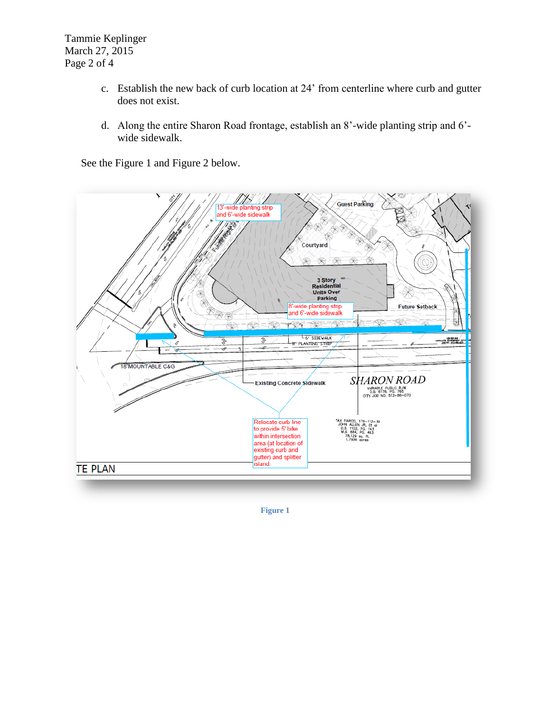Tammie Keplinger March 27, 2015 Page 2 of 4

- c. Establish the new back of curb location at 24' from centerline where curb and gutter does not exist.
- d. Along the entire Sharon Road frontage, establish an 8'-wide planting strip and 6' wide sidewalk.

See the Figure 1 and Figure 2 below.



**Figure 1**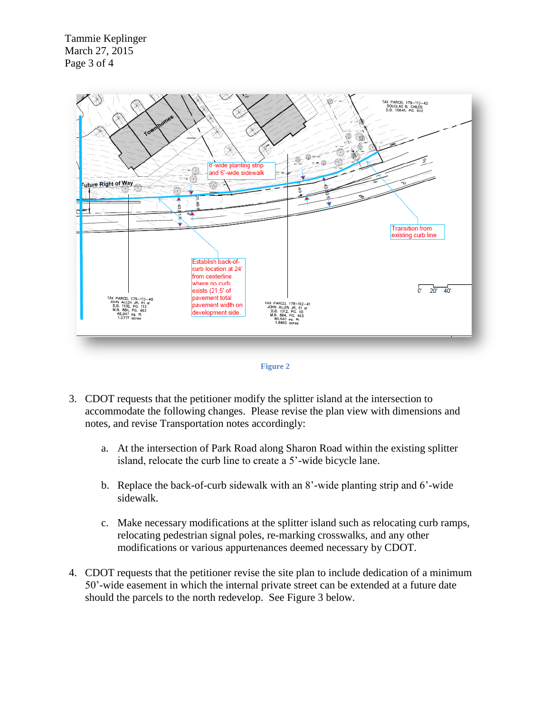Tammie Keplinger March 27, 2015 Page 3 of 4





- 3. CDOT requests that the petitioner modify the splitter island at the intersection to accommodate the following changes. Please revise the plan view with dimensions and notes, and revise Transportation notes accordingly:
	- a. At the intersection of Park Road along Sharon Road within the existing splitter island, relocate the curb line to create a 5'-wide bicycle lane.
	- b. Replace the back-of-curb sidewalk with an 8'-wide planting strip and 6'-wide sidewalk.
	- c. Make necessary modifications at the splitter island such as relocating curb ramps, relocating pedestrian signal poles, re-marking crosswalks, and any other modifications or various appurtenances deemed necessary by CDOT.
- 4. CDOT requests that the petitioner revise the site plan to include dedication of a minimum 50'-wide easement in which the internal private street can be extended at a future date should the parcels to the north redevelop. See Figure 3 below.